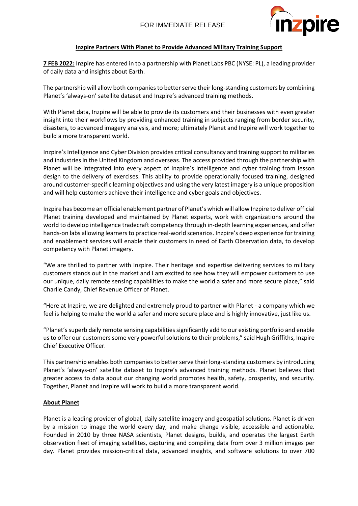

### **Inzpire Partners With Planet to Provide Advanced Military Training Support**

**7 FEB 2022:** Inzpire has entered in to a partnership with Planet Labs PBC (NYSE: PL), a leading provider of daily data and insights about Earth.

The partnership will allow both companies to better serve their long-standing customers by combining Planet's 'always-on' satellite dataset and Inzpire's advanced training methods.

With Planet data, Inzpire will be able to provide its customers and their businesses with even greater insight into their workflows by providing enhanced training in subjects ranging from border security, disasters, to advanced imagery analysis, and more; ultimately Planet and Inzpire will work together to build a more transparent world.

Inzpire's Intelligence and Cyber Division provides critical consultancy and training support to militaries and industries in the United Kingdom and overseas. The access provided through the partnership with Planet will be integrated into every aspect of Inzpire's intelligence and cyber training from lesson design to the delivery of exercises. This ability to provide operationally focused training, designed around customer-specific learning objectives and using the very latest imagery is a unique proposition and will help customers achieve their intelligence and cyber goals and objectives.

Inzpire has become an official enablement partner of Planet's which will allow Inzpire to deliver official Planet training developed and maintained by Planet experts, work with organizations around the world to develop intelligence tradecraft competency through in-depth learning experiences, and offer hands-on labs allowing learners to practice real-world scenarios. Inzpire's deep experience for training and enablement services will enable their customers in need of Earth Observation data, to develop competency with Planet imagery.

"We are thrilled to partner with Inzpire. Their heritage and expertise delivering services to military customers stands out in the market and I am excited to see how they will empower customers to use our unique, daily remote sensing capabilities to make the world a safer and more secure place," said Charlie Candy, Chief Revenue Officer of Planet.

"Here at Inzpire, we are delighted and extremely proud to partner with Planet - a company which we feel is helping to make the world a safer and more secure place and is highly innovative, just like us.

"Planet's superb daily remote sensing capabilities significantly add to our existing portfolio and enable us to offer our customers some very powerful solutions to their problems," said Hugh Griffiths, Inzpire Chief Executive Officer.

This partnership enables both companies to better serve their long-standing customers by introducing Planet's 'always-on' satellite dataset to Inzpire's advanced training methods. Planet believes that greater access to data about our changing world promotes health, safety, prosperity, and security. Together, Planet and Inzpire will work to build a more transparent world.

### **About Planet**

Planet is a leading provider of global, daily satellite imagery and geospatial solutions. Planet is driven by a mission to image the world every day, and make change visible, accessible and actionable. Founded in 2010 by three NASA scientists, Planet designs, builds, and operates the largest Earth observation fleet of imaging satellites, capturing and compiling data from over 3 million images per day. Planet provides mission-critical data, advanced insights, and software solutions to over 700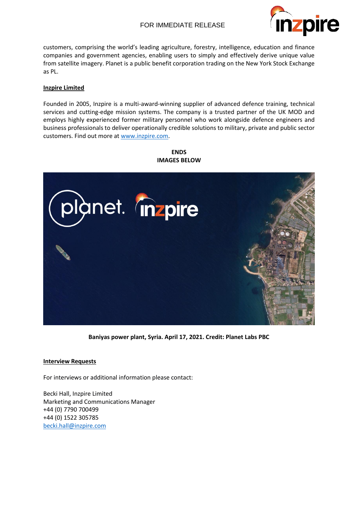## FOR IMMEDIATE RELEASE



customers, comprising the world's leading agriculture, forestry, intelligence, education and finance companies and government agencies, enabling users to simply and effectively derive unique value from satellite imagery. Planet is a public benefit corporation trading on the New York Stock Exchange as PL.

### **Inzpire Limited**

Founded in 2005, Inzpire is a multi-award-winning supplier of advanced defence training, technical services and cutting-edge mission systems. The company is a trusted partner of the UK MOD and employs highly experienced former military personnel who work alongside defence engineers and business professionals to deliver operationally credible solutions to military, private and public sector customers. Find out more at [www.inzpire.com.](http://www.inzpire.com/)

# plànet. mzpire

**ENDS IMAGES BELOW**

**Baniyas power plant, Syria. April 17, 2021. Credit: Planet Labs PBC**

### **Interview Requests**

For interviews or additional information please contact:

Becki Hall, Inzpire Limited Marketing and Communications Manager +44 (0) 7790 700499 +44 (0) 1522 305785 [becki.hall@inzpire.com](mailto:becki.hall@inzpire.com)